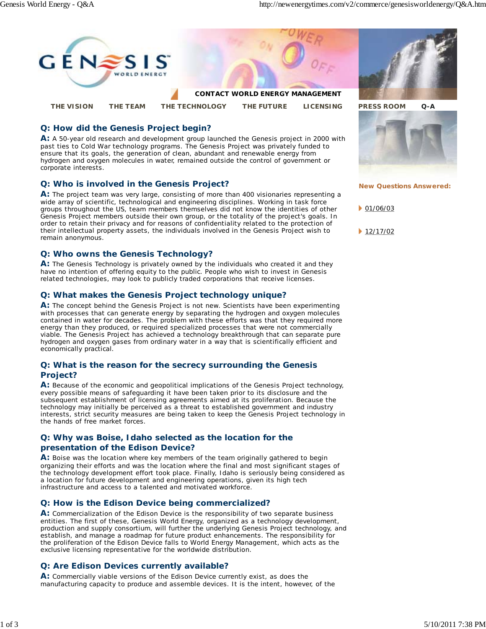

## **Q: How did the Genesis Project begin?**

**A:** A 50-year old research and development group launched the Genesis project in 2000 with past ties to Cold War technology programs. The Genesis Project was privately funded to ensure that its goals, the generation of clean, abundant and renewable energy from hydrogen and oxygen molecules in water, remained outside the control of government or corporate interests.

## **Q: Who is involved in the Genesis Project?**

**A:** The project team was very large, consisting of more than 400 visionaries representing a wide array of scientific, technological and engineering disciplines. Working in task force groups throughout the US, team members themselves did not know the identities of other Genesis Project members outside their own group, or the totality of the project's goals. In order to retain their privacy and for reasons of confidentiality related to the protection of their intellectual property assets, the individuals involved in the Genesis Project wish to remain anonymous.

## **Q: Who owns the Genesis Technology?**

**A:** The Genesis Technology is privately owned by the individuals who created it and they have no intention of offering equity to the public. People who wish to invest in Genesis related technologies, may look to publicly traded corporations that receive licenses.

## **Q: What makes the Genesis Project technology unique?**

**A:** The concept behind the Genesis Project is not new. Scientists have been experimenting with processes that can generate energy by separating the hydrogen and oxygen molecules contained in water for decades. The problem with these efforts was that they required more energy than they produced, or required specialized processes that were not commercially viable. The Genesis Project has achieved a technology breakthrough that can separate pure hydrogen and oxygen gases from ordinary water in a way that is scientifically efficient and economically practical.

#### **Q: What is the reason for the secrecy surrounding the Genesis Project?**

**A:** Because of the economic and geopolitical implications of the Genesis Project technology, every possible means of safeguarding it have been taken prior to its disclosure and the subsequent establishment of licensing agreements aimed at its proliferation. Because the technology may initially be perceived as a threat to established government and industry interests, strict security measures are being taken to keep the Genesis Project technology in the hands of free market forces.

## **Q: Why was Boise, Idaho selected as the location for the presentation of the Edison Device?**

**A:** Boise was the location where key members of the team originally gathered to begin organizing their efforts and was the location where the final and most significant stages of the technology development effort took place. Finally, Idaho is seriously being considered as a location for future development and engineering operations, given its high tech infrastructure and access to a talented and motivated workforce.

## **Q: How is the Edison Device being commercialized?**

**A:** Commercialization of the Edison Device is the responsibility of two separate business entities. The first of these, Genesis World Energy, organized as a technology development, production and supply consortium, will further the underlying Genesis Project technology, and establish, and manage a roadmap for future product enhancements. The responsibility for the proliferation of the Edison Device falls to World Energy Management, which acts as the exclusive licensing representative for the worldwide distribution.

# **Q: Are Edison Devices currently available?**

**A:** Commercially viable versions of the Edison Device currently exist, as does the manufacturing capacity to produce and assemble devices. It is the intent, however, of the





**New Questions Answered:**

 $01/06/03$ 

 $12/17/02$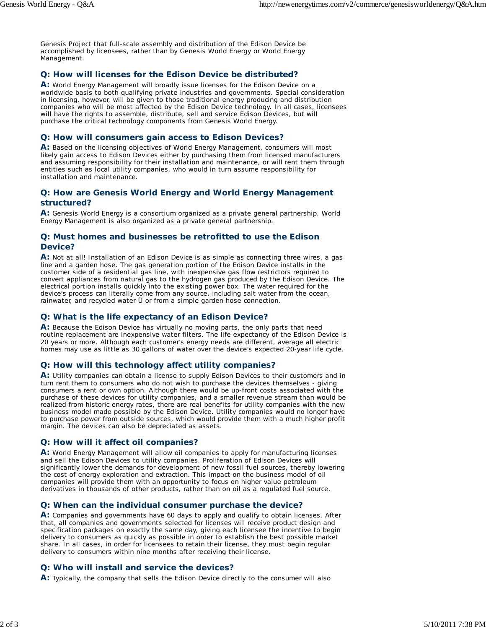Genesis Project that full-scale assembly and distribution of the Edison Device be accomplished by licensees, rather than by Genesis World Energy or World Energy Management.

## **Q: How will licenses for the Edison Device be distributed?**

**A:** World Energy Management will broadly issue licenses for the Edison Device on a worldwide basis to both qualifying private industries and governments. Special consideration in licensing, however, will be given to those traditional energy producing and distribution companies who will be most affected by the Edison Device technology. In all cases, licensees will have the rights to assemble, distribute, sell and service Edison Devices, but will purchase the critical technology components from Genesis World Energy.

## **Q: How will consumers gain access to Edison Devices?**

**A:** Based on the licensing objectives of World Energy Management, consumers will most likely gain access to Edison Devices either by purchasing them from licensed manufacturers and assuming responsibility for their installation and maintenance, or will rent them through entities such as local utility companies, who would in turn assume responsibility for installation and maintenance.

## **Q: How are Genesis World Energy and World Energy Management structured?**

**A:** Genesis World Energy is a consortium organized as a private general partnership. World Energy Management is also organized as a private general partnership.

## **Q: Must homes and businesses be retrofitted to use the Edison Device?**

**A:** Not at all! Installation of an Edison Device is as simple as connecting three wires, a gas line and a garden hose. The gas generation portion of the Edison Device installs in the customer side of a residential gas line, with inexpensive gas flow restrictors required to convert appliances from natural gas to the hydrogen gas produced by the Edison Device. The electrical portion installs quickly into the existing power box. The water required for the device's process can literally come from any source, including salt water from the ocean, rainwater, and recycled water Ü or from a simple garden hose connection.

## **Q: What is the life expectancy of an Edison Device?**

**A:** Because the Edison Device has virtually no moving parts, the only parts that need routine replacement are inexpensive water filters. The life expectancy of the Edison Device is 20 years or more. Although each customer's energy needs are different, average all electric homes may use as little as 30 gallons of water over the device's expected 20-year life cycle.

## **Q: How will this technology affect utility companies?**

**A:** Utility companies can obtain a license to supply Edison Devices to their customers and in turn rent them to consumers who do not wish to purchase the devices themselves - giving consumers a rent or own option. Although there would be up-front costs associated with the purchase of these devices for utility companies, and a smaller revenue stream than would be realized from historic energy rates, there are real benefits for utility companies with the new business model made possible by the Edison Device. Utility companies would no longer have to purchase power from outside sources, which would provide them with a much higher profit margin. The devices can also be depreciated as assets.

## **Q: How will it affect oil companies?**

**A:** World Energy Management will allow oil companies to apply for manufacturing licenses and sell the Edison Devices to utility companies. Proliferation of Edison Devices will significantly lower the demands for development of new fossil fuel sources, thereby lowering the cost of energy exploration and extraction. This impact on the business model of oil companies will provide them with an opportunity to focus on higher value petroleum derivatives in thousands of other products, rather than on oil as a regulated fuel source.

## **Q: When can the individual consumer purchase the device?**

**A:** Companies and governments have 60 days to apply and qualify to obtain licenses. After that, all companies and governments selected for licenses will receive product design and specification packages on exactly the same day, giving each licensee the incentive to begin delivery to consumers as quickly as possible in order to establish the best possible market share. In all cases, in order for licensees to retain their license, they must begin regular delivery to consumers within nine months after receiving their license.

# **Q: Who will install and service the devices?**

**A:** Typically, the company that sells the Edison Device directly to the consumer will also